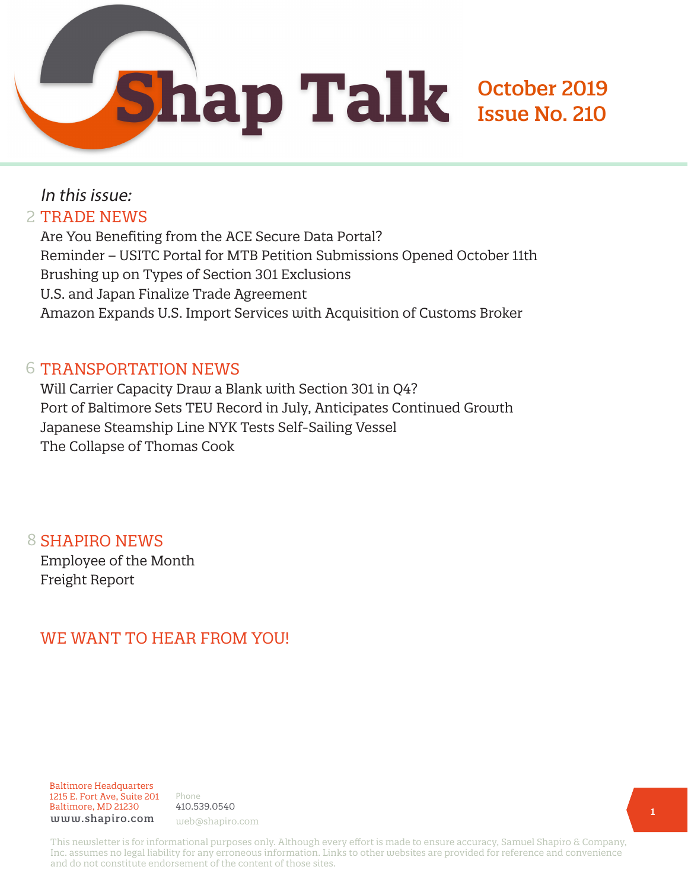

# In this issue: 2 TRADE NEWS

Are You Benefiting from the ACE Secure Data Portal? Reminder – USITC Portal for MTB Petition Submissions Opened October 11th Brushing up on Types of Section 301 Exclusions U.S. and Japan Finalize Trade Agreement Amazon Expands U.S. Import Services with Acquisition of Customs Broker

## 6 TRANSPORTATION NEWS

Will Carrier Capacity Draw a Blank with Section 301 in Q4? Port of Baltimore Sets TEU Record in July, Anticipates Continued Growth Japanese Steamship Line NYK Tests Self-Sailing Vessel The Collapse of Thomas Cook

8 SHAPIRO NEWS Employee of the Month Freight Report

# WE WANT TO HEAR FROM YOU!

Baltimore Headquarters 1215 E. Fort Ave, Suite 201 Baltimore, MD 21230 www.shapiro.com web@shapiro.com

Phone 410.539.0540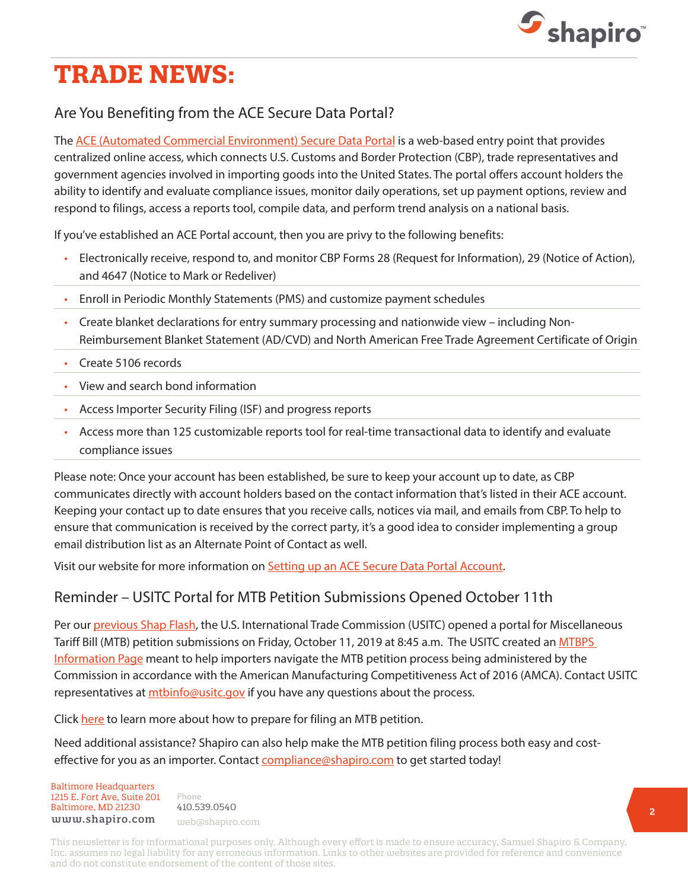

# **TRADE NEWS:**

## Are You Benefiting from the ACE Secure Data Portal?

The [ACE \(Automated Commercial Environment\) Secure Data Portal](https://www.shapiro.com/ace-secure-data-portal/) is a web-based entry point that provides centralized online access, which connects U.S. Customs and Border Protection (CBP), trade representatives and government agencies involved in importing goods into the United States. The portal offers account holders the ability to identify and evaluate compliance issues, monitor daily operations, set up payment options, review and respond to filings, access a reports tool, compile data, and perform trend analysis on a national basis.

If you've established an ACE Portal account, then you are privy to the following benefits:

- Electronically receive, respond to, and monitor CBP Forms 28 (Request for Information), 29 (Notice of Action), and 4647 (Notice to Mark or Redeliver)
- Enroll in Periodic Monthly Statements (PMS) and customize payment schedules
- Create blanket declarations for entry summary processing and nationwide view including Non-Reimbursement Blanket Statement (AD/CVD) and North American Free Trade Agreement Certificate of Origin
- Create 5106 records
- View and search bond information
- Access Importer Security Filing (ISF) and progress reports
- Access more than 125 customizable reports tool for real-time transactional data to identify and evaluate compliance issues

Please note: Once your account has been established, be sure to keep your account up to date, as CBP communicates directly with account holders based on the contact information that's listed in their ACE account. Keeping your contact up to date ensures that you receive calls, notices via mail, and emails from CBP. To help to ensure that communication is received by the correct party, it's a good idea to consider implementing a group email distribution list as an Alternate Point of Contact as well.

Visit our website for more information on [Setting up an ACE Secure Data Portal Account.](https://www.shapiro.com/setting-up-an-ace-secure-data-portal-account/)

#### Reminder – USITC Portal for MTB Petition Submissions Opened October 11th

Per our [previous Shap Flash](https://www.shapiro.com/alerts/usitc-open-portal-mtb-petition-submissions-october-11), the U.S. International Trade Commission (USITC) opened a portal for Miscellaneous Tariff Bill (MTB) petition submissions on Friday, October 11, 2019 at 8:45 a.m. The USITC created an [MTBPS](https://www.usitc.gov/trade_tariffs/mtb_program_information?source=govdelivery&utm_medium=email&utm_source=govdelivery)  [Information Page](https://www.usitc.gov/trade_tariffs/mtb_program_information?source=govdelivery&utm_medium=email&utm_source=govdelivery) meant to help importers navigate the MTB petition process being administered by the Commission in accordance with the American Manufacturing Competitiveness Act of 2016 (AMCA). Contact USITC representatives at *mtbinfo@usitc.gov* if you have any questions about the process.

Click [here](https://www.usitc.gov/documents/mtbps/mtb_before_you_file_a_petition_2019.pdf?source=govdelivery&utm_medium=email&utm_source=govdelivery) to learn more about how to prepare for filing an MTB petition.

Need additional assistance? Shapiro can also help make the MTB petition filing process both easy and costeffective for you as an importer. Contact [compliance@shapiro.com](mailto:compliance%40shapiro.com?subject=) to get started today!

Baltimore Headquarters Baltimore Headquarters 1215 E. Fort Ave, Suite 201 www.shapiro.com <sub>web@shapiro.com</sub> Baltimore, MD 21230

Phone Phone rnone<br>410.539.0540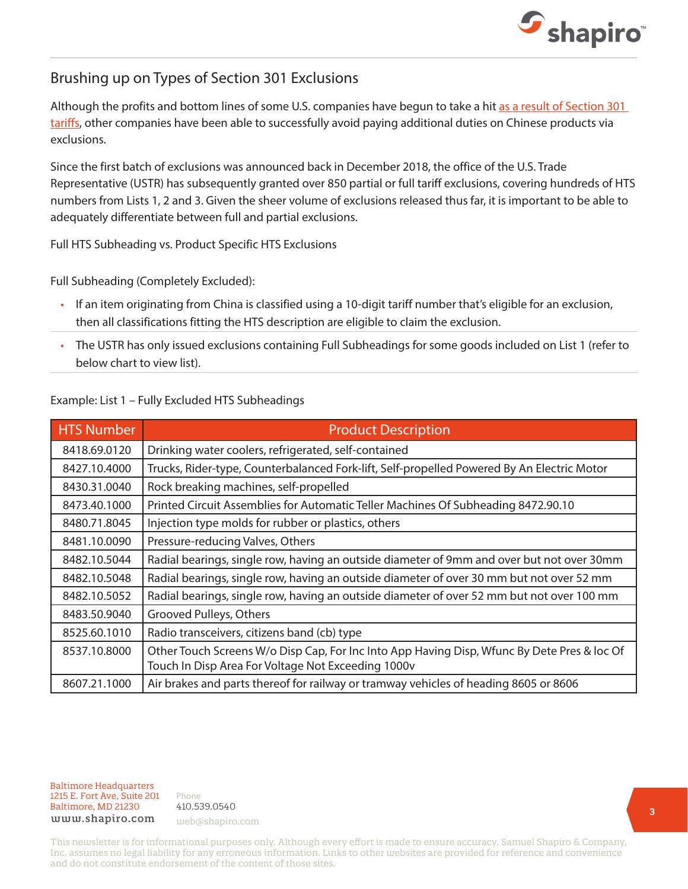

#### Brushing up on Types of Section 301 Exclusions

Although the profits and bottom lines of some U.S. companies have begun to take a hit [as a result of Section 301](https://www.shapiro.com/tariffs/tariff-news/)  [tariffs,](https://www.shapiro.com/tariffs/tariff-news/) other companies have been able to successfully avoid paying additional duties on Chinese products via exclusions.

Since the first batch of exclusions was announced back in December 2018, the office of the U.S. Trade Representative (USTR) has subsequently granted over 850 partial or full tariff exclusions, covering hundreds of HTS numbers from Lists 1, 2 and 3. Given the sheer volume of exclusions released thus far, it is important to be able to adequately differentiate between full and partial exclusions.

Full HTS Subheading vs. Product Specific HTS Exclusions

Full Subheading (Completely Excluded):

- If an item originating from China is classified using a 10-digit tariff number that's eligible for an exclusion, then all classifications fitting the HTS description are eligible to claim the exclusion.
- The USTR has only issued exclusions containing Full Subheadings for some goods included on List 1 (refer to below chart to view list).

#### Example: List 1 – Fully Excluded HTS Subheadings

| <b>HTS Number</b> | <b>Product Description</b>                                                                                                                        |
|-------------------|---------------------------------------------------------------------------------------------------------------------------------------------------|
| 8418.69.0120      | Drinking water coolers, refrigerated, self-contained                                                                                              |
| 8427.10.4000      | Trucks, Rider-type, Counterbalanced Fork-lift, Self-propelled Powered By An Electric Motor                                                        |
| 8430.31.0040      | Rock breaking machines, self-propelled                                                                                                            |
| 8473.40.1000      | Printed Circuit Assemblies for Automatic Teller Machines Of Subheading 8472.90.10                                                                 |
| 8480.71.8045      | Injection type molds for rubber or plastics, others                                                                                               |
| 8481.10.0090      | Pressure-reducing Valves, Others                                                                                                                  |
| 8482.10.5044      | Radial bearings, single row, having an outside diameter of 9mm and over but not over 30mm                                                         |
| 8482.10.5048      | Radial bearings, single row, having an outside diameter of over 30 mm but not over 52 mm                                                          |
| 8482.10.5052      | Radial bearings, single row, having an outside diameter of over 52 mm but not over 100 mm                                                         |
| 8483.50.9040      | Grooved Pulleys, Others                                                                                                                           |
| 8525.60.1010      | Radio transceivers, citizens band (cb) type                                                                                                       |
| 8537.10.8000      | Other Touch Screens W/o Disp Cap, For Inc Into App Having Disp, Wfunc By Dete Pres & loc Of<br>Touch In Disp Area For Voltage Not Exceeding 1000v |
| 8607.21.1000      | Air brakes and parts thereof for railway or tramway vehicles of heading 8605 or 8606                                                              |

#### Baltimore Headquarters Baltimore Headquarters<br>1215 E. F 1215 E. Fort Ave, Suite 201 www.shapiro.com <sub>web@shapiro.com</sub> Baltimore, MD 21230

Phone Phone rnone<br>410.539.0540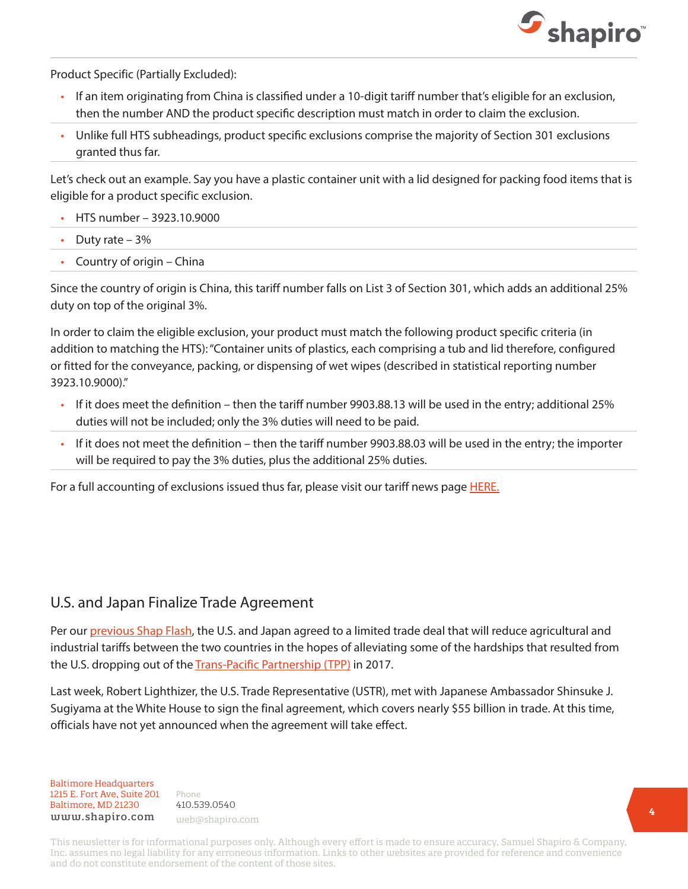

Product Specific (Partially Excluded):

- If an item originating from China is classified under a 10-digit tariff number that's eligible for an exclusion, then the number AND the product specific description must match in order to claim the exclusion.
- Unlike full HTS subheadings, product specific exclusions comprise the majority of Section 301 exclusions granted thus far.

Let's check out an example. Say you have a plastic container unit with a lid designed for packing food items that is eligible for a product specific exclusion.

- HTS number 3923.10.9000
- Duty rate  $-3%$
- Country of origin China

Since the country of origin is China, this tariff number falls on List 3 of Section 301, which adds an additional 25% duty on top of the original 3%.

In order to claim the eligible exclusion, your product must match the following product specific criteria (in addition to matching the HTS): "Container units of plastics, each comprising a tub and lid therefore, configured or fitted for the conveyance, packing, or dispensing of wet wipes (described in statistical reporting number 3923.10.9000)."

- If it does meet the definition then the tariff number 9903.88.13 will be used in the entry; additional 25% duties will not be included; only the 3% duties will need to be paid.
- If it does not meet the definition then the tariff number 9903.88.03 will be used in the entry; the importer will be required to pay the 3% duties, plus the additional 25% duties.

For a full accounting of exclusions issued thus far, please visit our tariff news page [HERE.](https://www.shapiro.com/tariffs/tariff-news/)

#### U.S. and Japan Finalize Trade Agreement

Per our [previous Shap Flash,](https://www.shapiro.com/alerts/ustr-announces-us-japan-mini-trade-agreement/) the U.S. and Japan agreed to a limited trade deal that will reduce agricultural and industrial tariffs between the two countries in the hopes of alleviating some of the hardships that resulted from the U.S. dropping out of the [Trans-Pacific Partnership \(TPP\)](https://www.shapiro.com/alerts/trans-pacific-partnership-members-reach-trade-deal/) in 2017.

Last week, Robert Lighthizer, the U.S. Trade Representative (USTR), met with Japanese Ambassador Shinsuke J. Sugiyama at the White House to sign the final agreement, which covers nearly \$55 billion in trade. At this time, officials have not yet announced when the agreement will take effect.

Baltimore Headquarters Baltimore Headquarters 1215 E. Fort Ave, Suite 201 1215 E. Fort Ave, Suite 201 Baltimore, MD 21201 Baltimore, MD 21230 www.shapiro.com web@shapiro.com

Phone Phone 410.539.0540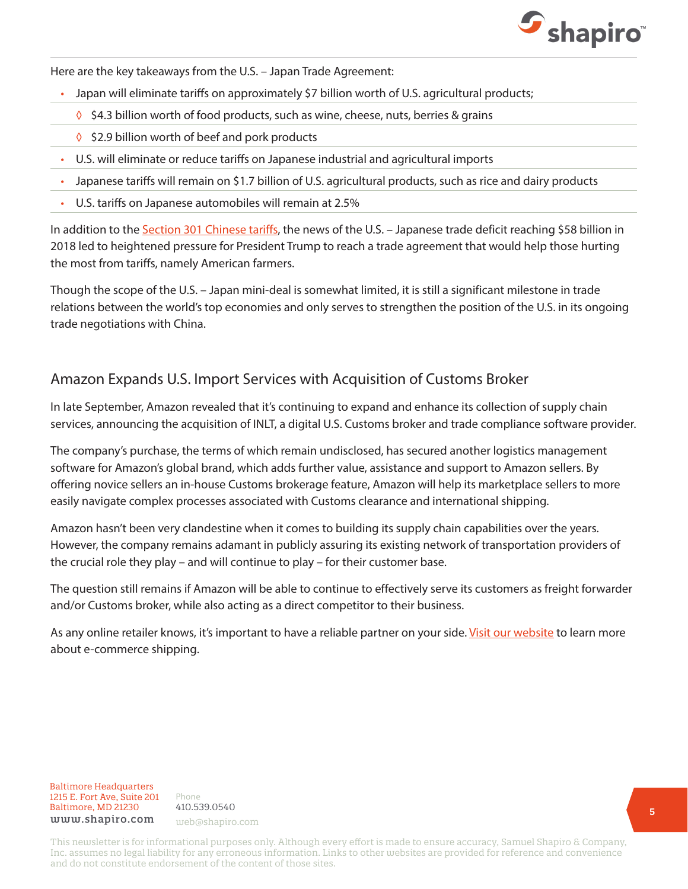

Here are the key takeaways from the U.S. – Japan Trade Agreement:

- Japan will eliminate tariffs on approximately \$7 billion worth of U.S. agricultural products;
	- ◊ \$4.3 billion worth of food products, such as wine, cheese, nuts, berries & grains
	- ◊ \$2.9 billion worth of beef and pork products
- U.S. will eliminate or reduce tariffs on Japanese industrial and agricultural imports
- Japanese tariffs will remain on \$1.7 billion of U.S. agricultural products, such as rice and dairy products
- U.S. tariffs on Japanese automobiles will remain at 2.5%

In addition to the [Section 301 Chinese tariffs](https://www.shapiro.com/tariffs/tariff-news/), the news of the U.S. - Japanese trade deficit reaching \$58 billion in 2018 led to heightened pressure for President Trump to reach a trade agreement that would help those hurting the most from tariffs, namely American farmers.

Though the scope of the U.S. – Japan mini-deal is somewhat limited, it is still a significant milestone in trade relations between the world's top economies and only serves to strengthen the position of the U.S. in its ongoing trade negotiations with China.

#### Amazon Expands U.S. Import Services with Acquisition of Customs Broker

In late September, Amazon revealed that it's continuing to expand and enhance its collection of supply chain services, announcing the acquisition of INLT, a digital U.S. Customs broker and trade compliance software provider.

The company's purchase, the terms of which remain undisclosed, has secured another logistics management software for Amazon's global brand, which adds further value, assistance and support to Amazon sellers. By offering novice sellers an in-house Customs brokerage feature, Amazon will help its marketplace sellers to more easily navigate complex processes associated with Customs clearance and international shipping.

Amazon hasn't been very clandestine when it comes to building its supply chain capabilities over the years. However, the company remains adamant in publicly assuring its existing network of transportation providers of the crucial role they play – and will continue to play – for their customer base.

The question still remains if Amazon will be able to continue to effectively serve its customers as freight forwarder and/or Customs broker, while also acting as a direct competitor to their business.

As any online retailer knows, it's important to have a reliable partner on your side. [Visit our website](https://www.shapiro.com/services/ecommerce-shipping/) to learn more about e-commerce shipping.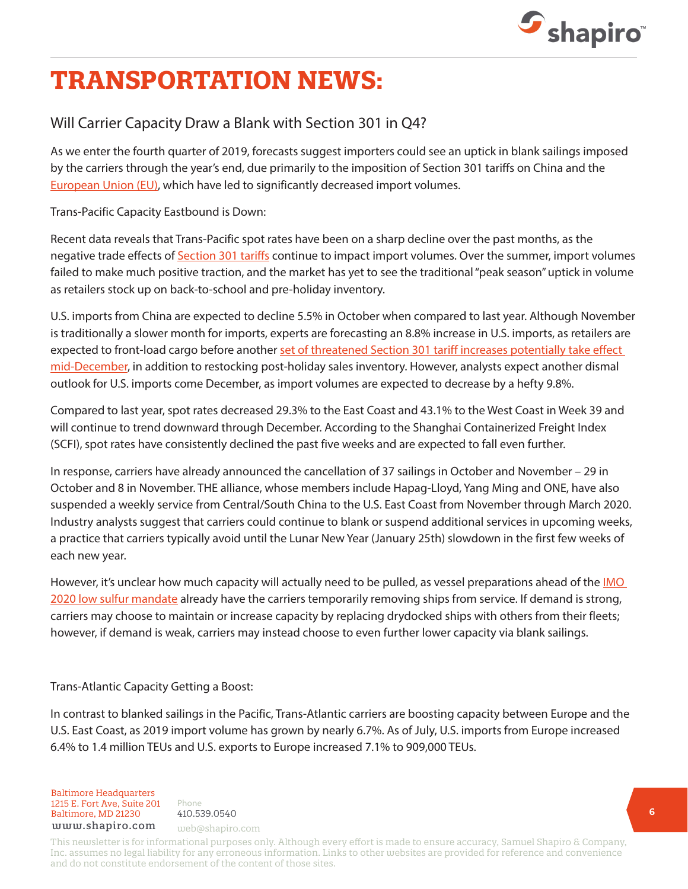

# **TRANSPORTATION NEWS:**

### Will Carrier Capacity Draw a Blank with Section 301 in Q4?

As we enter the fourth quarter of 2019, forecasts suggest importers could see an uptick in blank sailings imposed by the carriers through the year's end, due primarily to the imposition of Section 301 tariffs on China and the [European Union \(EU\)](https://www.shapiro.com/alerts/ustr-releases-list-eu-goods-subject-to-section-301-tariffs), which have led to significantly decreased import volumes.

Trans-Pacific Capacity Eastbound is Down:

Recent data reveals that Trans-Pacific spot rates have been on a sharp decline over the past months, as the negative trade effects of [Section 301 tariffs](https://www.shapiro.com/tariffs/tariff-news/) continue to impact import volumes. Over the summer, import volumes failed to make much positive traction, and the market has yet to see the traditional "peak season" uptick in volume as retailers stock up on back-to-school and pre-holiday inventory.

U.S. imports from China are expected to decline 5.5% in October when compared to last year. Although November is traditionally a slower month for imports, experts are forecasting an 8.8% increase in U.S. imports, as retailers are expected to front-load cargo before another set of threatened Section 301 tariff increases potentially take effect [mid-December,](https://www.shapiro.com/alerts/ustr-notice-raising-list-4a-4b-tariffs-to-15-percent/) in addition to restocking post-holiday sales inventory. However, analysts expect another dismal outlook for U.S. imports come December, as import volumes are expected to decrease by a hefty 9.8%.

Compared to last year, spot rates decreased 29.3% to the East Coast and 43.1% to the West Coast in Week 39 and will continue to trend downward through December. According to the Shanghai Containerized Freight Index (SCFI), spot rates have consistently declined the past five weeks and are expected to fall even further.

In response, carriers have already announced the cancellation of 37 sailings in October and November – 29 in October and 8 in November. THE alliance, whose members include Hapag-Lloyd, Yang Ming and ONE, have also suspended a weekly service from Central/South China to the U.S. East Coast from November through March 2020. Industry analysts suggest that carriers could continue to blank or suspend additional services in upcoming weeks, a practice that carriers typically avoid until the Lunar New Year (January 25th) slowdown in the first few weeks of each new year.

However, it's unclear how much capacity will actually need to be pulled, as vessel preparations ahead of the IMO [2020 low sulfur mandate](https://www.shapiro.com/blog/explore-impacts-imo-low-sulfur-surcharge-2020/) already have the carriers temporarily removing ships from service. If demand is strong, carriers may choose to maintain or increase capacity by replacing drydocked ships with others from their fleets; however, if demand is weak, carriers may instead choose to even further lower capacity via blank sailings.

Trans-Atlantic Capacity Getting a Boost:

In contrast to blanked sailings in the Pacific, Trans-Atlantic carriers are boosting capacity between Europe and the U.S. East Coast, as 2019 import volume has grown by nearly 6.7%. As of July, U.S. imports from Europe increased 6.4% to 1.4 million TEUs and U.S. exports to Europe increased 7.1% to 909,000 TEUs.

Baltimore Headquarters 1215 E. Fort Ave, Suite 201 Baltimore, MD 21230 410.539.0540 www.shapiro.com web@shapiro.com

Phone 410.539.0540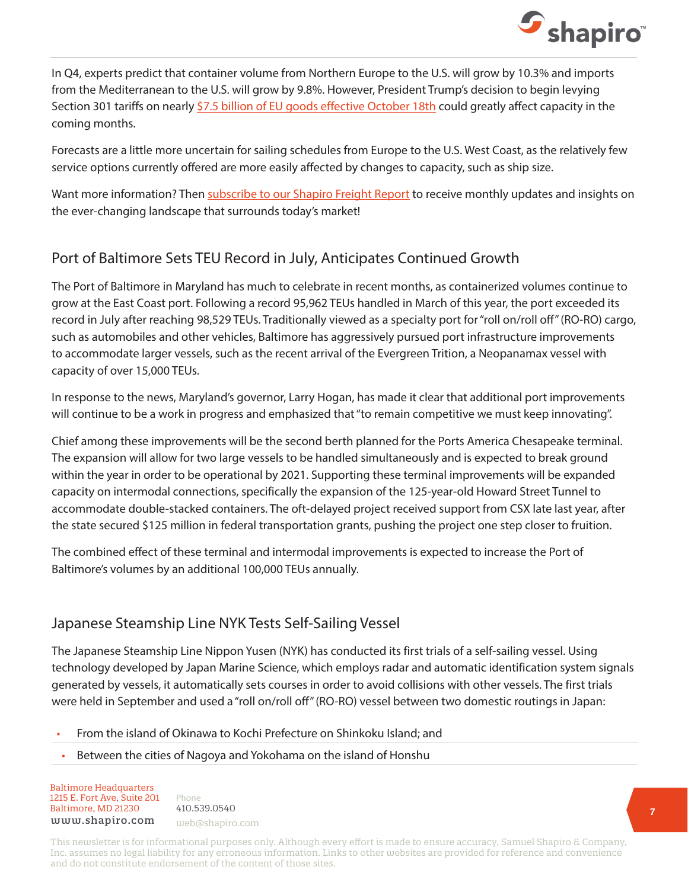

In Q4, experts predict that container volume from Northern Europe to the U.S. will grow by 10.3% and imports from the Mediterranean to the U.S. will grow by 9.8%. However, President Trump's decision to begin levying Section 301 tariffs on nearly [\\$7.5 billion of EU goods effective October 18th](https://www.shapiro.com/alerts/ustr-releases-additional-guidance-section-301-eu-tariffs/) could greatly affect capacity in the coming months.

Forecasts are a little more uncertain for sailing schedules from Europe to the U.S. West Coast, as the relatively few service options currently offered are more easily affected by changes to capacity, such as ship size.

Want more information? Then [subscribe to our Shapiro Freight Report](https://www.shapiro.com/subscription-center/) to receive monthly updates and insights on the ever-changing landscape that surrounds today's market!

## Port of Baltimore Sets TEU Record in July, Anticipates Continued Growth

The Port of Baltimore in Maryland has much to celebrate in recent months, as containerized volumes continue to grow at the East Coast port. Following a record 95,962 TEUs handled in March of this year, the port exceeded its record in July after reaching 98,529 TEUs. Traditionally viewed as a specialty port for "roll on/roll off" (RO-RO) cargo, such as automobiles and other vehicles, Baltimore has aggressively pursued port infrastructure improvements to accommodate larger vessels, such as the recent arrival of the Evergreen Trition, a Neopanamax vessel with capacity of over 15,000 TEUs.

In response to the news, Maryland's governor, Larry Hogan, has made it clear that additional port improvements will continue to be a work in progress and emphasized that "to remain competitive we must keep innovating".

Chief among these improvements will be the second berth planned for the Ports America Chesapeake terminal. The expansion will allow for two large vessels to be handled simultaneously and is expected to break ground within the year in order to be operational by 2021. Supporting these terminal improvements will be expanded capacity on intermodal connections, specifically the expansion of the 125-year-old Howard Street Tunnel to accommodate double-stacked containers. The oft-delayed project received support from CSX late last year, after the state secured \$125 million in federal transportation grants, pushing the project one step closer to fruition.

The combined effect of these terminal and intermodal improvements is expected to increase the Port of Baltimore's volumes by an additional 100,000 TEUs annually.

#### Japanese Steamship Line NYK Tests Self-Sailing Vessel

The Japanese Steamship Line Nippon Yusen (NYK) has conducted its first trials of a self-sailing vessel. Using technology developed by Japan Marine Science, which employs radar and automatic identification system signals generated by vessels, it automatically sets courses in order to avoid collisions with other vessels. The first trials were held in September and used a "roll on/roll off" (RO-RO) vessel between two domestic routings in Japan:

- From the island of Okinawa to Kochi Prefecture on Shinkoku Island; and
- Between the cities of Nagoya and Yokohama on the island of Honshu

Baltimore Headquarters Baltimore Headquarters 1215 E. Fort Ave, Suite 201 www.shapiro.com web@shapiro.com Baltimore, MD 21230

Phone Phone <sup>Phone</sup><br>410.539.0540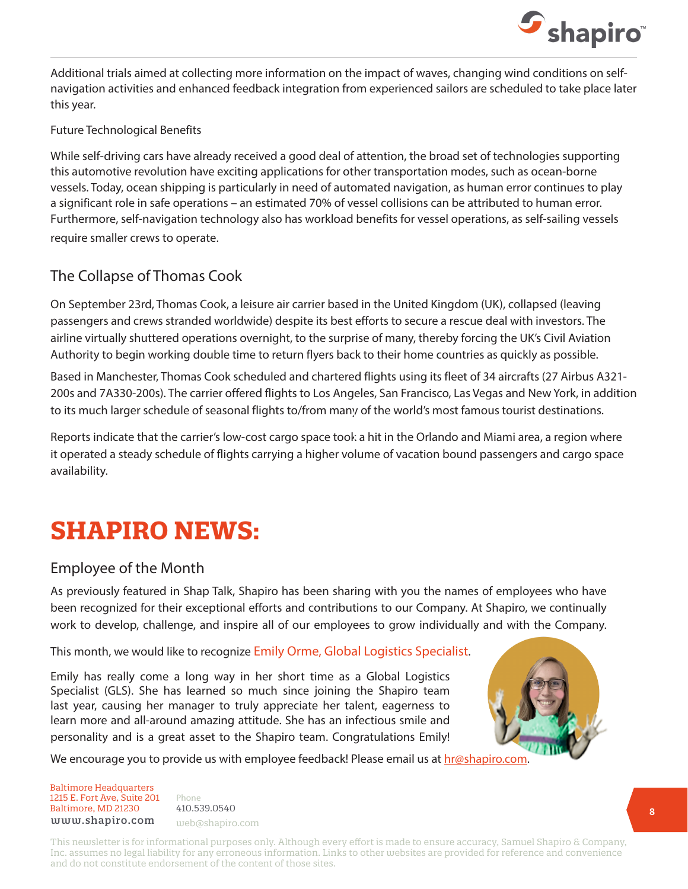

Additional trials aimed at collecting more information on the impact of waves, changing wind conditions on selfnavigation activities and enhanced feedback integration from experienced sailors are scheduled to take place later this year.

#### Future Technological Benefits

While self-driving cars have already received a good deal of attention, the broad set of technologies supporting this automotive revolution have exciting applications for other transportation modes, such as ocean-borne vessels. Today, ocean shipping is particularly in need of automated navigation, as human error continues to play a significant role in safe operations – an estimated 70% of vessel collisions can be attributed to human error. Furthermore, self-navigation technology also has workload benefits for vessel operations, as self-sailing vessels require smaller crews to operate.

#### The Collapse of Thomas Cook

On September 23rd, Thomas Cook, a leisure air carrier based in the United Kingdom (UK), collapsed (leaving passengers and crews stranded worldwide) despite its best efforts to secure a rescue deal with investors. The airline virtually shuttered operations overnight, to the surprise of many, thereby forcing the UK's Civil Aviation Authority to begin working double time to return flyers back to their home countries as quickly as possible.

Based in Manchester, Thomas Cook scheduled and chartered flights using its fleet of 34 aircrafts (27 Airbus A321- 200s and 7A330-200s). The carrier offered flights to Los Angeles, San Francisco, Las Vegas and New York, in addition to its much larger schedule of seasonal flights to/from many of the world's most famous tourist destinations.

Reports indicate that the carrier's low-cost cargo space took a hit in the Orlando and Miami area, a region where it operated a steady schedule of flights carrying a higher volume of vacation bound passengers and cargo space availability.

# **SHAPIRO NEWS:**

#### Employee of the Month

As previously featured in Shap Talk, Shapiro has been sharing with you the names of employees who have been recognized for their exceptional efforts and contributions to our Company. At Shapiro, we continually work to develop, challenge, and inspire all of our employees to grow individually and with the Company.

#### This month, we would like to recognize Emily Orme, Global Logistics Specialist.

Emily has really come a long way in her short time as a Global Logistics Specialist (GLS). She has learned so much since joining the Shapiro team last year, causing her manager to truly appreciate her talent, eagerness to learn more and all-around amazing attitude. She has an infectious smile and personality and is a great asset to the Shapiro team. Congratulations Emily!



We encourage you to provide us with employee feedback! Please email us at **hr@shapiro.com**.

Baltimore Headquarters Baltimore Headquarters 1215 E. Fort Ave, Suite 201 www.shapiro.com web@shapiro.com Baltimore, MD 21230

Phone Phone <sup>Phone</sup><br>410.539.0540